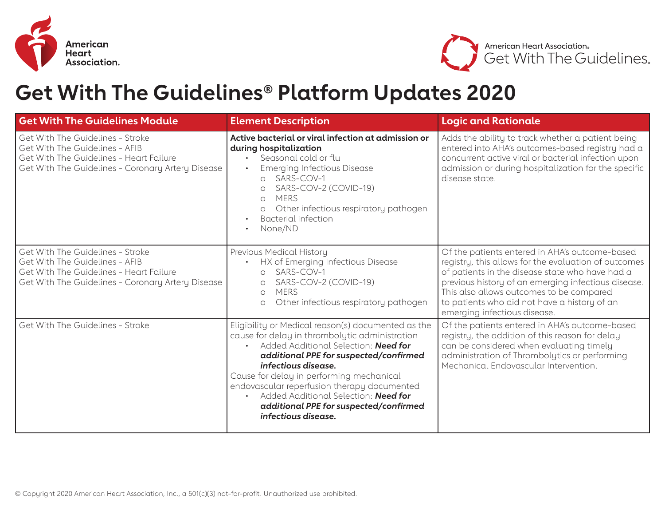



## **Get With The Guidelines® Platform Updates 2020**

| <b>Get With The Guidelines Module</b>                                                                                                                              | <b>Element Description</b>                                                                                                                                                                                                                                                                                                                                                                                        | <b>Logic and Rationale</b>                                                                                                                                                                                                                                                                                                                   |
|--------------------------------------------------------------------------------------------------------------------------------------------------------------------|-------------------------------------------------------------------------------------------------------------------------------------------------------------------------------------------------------------------------------------------------------------------------------------------------------------------------------------------------------------------------------------------------------------------|----------------------------------------------------------------------------------------------------------------------------------------------------------------------------------------------------------------------------------------------------------------------------------------------------------------------------------------------|
| Get With The Guidelines - Stroke<br>Get With The Guidelines - AFIB<br>Get With The Guidelines - Heart Failure<br>Get With The Guidelines - Coronary Artery Disease | Active bacterial or viral infection at admission or<br>during hospitalization<br>Seasonal cold or flu<br><b>Emerging Infectious Disease</b><br>SARS-COV-1<br>$\Omega$<br>SARS-COV-2 (COVID-19)<br>$\Omega$<br><b>MERS</b><br>$\Omega$<br>Other infectious respiratory pathogen<br>$\circ$<br><b>Bacterial infection</b><br>None/ND                                                                                | Adds the ability to track whether a patient being<br>entered into AHA's outcomes-based registry had a<br>concurrent active viral or bacterial infection upon<br>admission or during hospitalization for the specific<br>disease state.                                                                                                       |
| Get With The Guidelines - Stroke<br>Get With The Guidelines - AFIB<br>Get With The Guidelines - Heart Failure<br>Get With The Guidelines - Coronary Artery Disease | Previous Medical History<br>HX of Emerging Infectious Disease<br>SARS-COV-1<br>$\circ$<br>SARS-COV-2 (COVID-19)<br>$\circ$<br><b>MERS</b><br>$\circ$<br>Other infectious respiratory pathogen<br>$\circlearrowright$                                                                                                                                                                                              | Of the patients entered in AHA's outcome-based<br>registry, this allows for the evaluation of outcomes<br>of patients in the disease state who have had a<br>previous history of an emerging infectious disease.<br>This also allows outcomes to be compared<br>to patients who did not have a history of an<br>emerging infectious disease. |
| Get With The Guidelines - Stroke                                                                                                                                   | Eligibility or Medical reason(s) documented as the<br>cause for delay in thrombolytic administration<br>Added Additional Selection: Need for<br>additional PPE for suspected/confirmed<br>infectious disease.<br>Cause for delay in performing mechanical<br>endovascular reperfusion therapy documented<br>Added Additional Selection: Need for<br>additional PPE for suspected/confirmed<br>infectious disease. | Of the patients entered in AHA's outcome-based<br>registry, the addition of this reason for delay<br>can be considered when evaluating timely<br>administration of Thrombolytics or performing<br>Mechanical Endovascular Intervention.                                                                                                      |